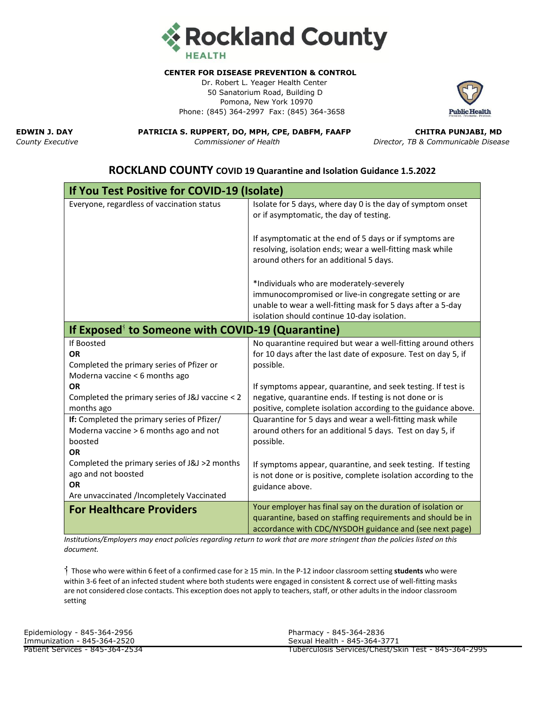

## **CENTER FOR DISEASE PREVENTION & CONTROL**

Dr. Robert L. Yeager Health Center 50 Sanatorium Road, Building D Pomona, New York 10970 Phone: (845) 364-2997 Fax: (845) 364-3658



**EDWIN J. DAY PATRICIA S. RUPPERT, DO, MPH, CPE, DABFM, FAAFP CHITRA PUNJABI, MD**

*County Executive Commissioner of Health Director, TB & Communicable Disease*

## **If You Test Positive for COVID-19 (Isolate)** Everyone, regardless of vaccination status Isolate for 5 days, where day 0 is the day of symptom onset or if asymptomatic, the day of testing. If asymptomatic at the end of 5 days or if symptoms are resolving, isolation ends; wear a well-fitting mask while around others for an additional 5 days. \*Individuals who are moderately-severely immunocompromised or live-in congregate setting or are unable to wear a well-fitting mask for 5 days after a 5-day isolation should continue 10-day isolation. **If Exposed**⸶ **to Someone with COVID-19 (Quarantine)** If Boosted **OR** Completed the primary series of Pfizer or Moderna vaccine < 6 months ago **OR** Completed the primary series of J&J vaccine < 2 months ago No quarantine required but wear a well-fitting around others for 10 days after the last date of exposure. Test on day 5, if possible. If symptoms appear, quarantine, and seek testing. If test is negative, quarantine ends. If testing is not done or is positive, complete isolation according to the guidance above. **If:** Completed the primary series of Pfizer/ Moderna vaccine > 6 months ago and not boosted **OR** Completed the primary series of J&J >2 months ago and not boosted **OR** Are unvaccinated /Incompletely Vaccinated Quarantine for 5 days and wear a well-fitting mask while around others for an additional 5 days. Test on day 5, if possible. If symptoms appear, quarantine, and seek testing. If testing is not done or is positive, complete isolation according to the guidance above. **For Healthcare Providers** Your employer has final say on the duration of isolation or quarantine, based on staffing requirements and should be in accordance with CDC/NYSDOH guidance and (see next page)

**ROCKLAND COUNTY COVID 19 Quarantine and Isolation Guidance 1.5.2022**

*Institutions/Employers may enact policies regarding return to work that are more stringent than the policies listed on this document.*

⸶ Those who were within 6 feet of a confirmed case for ≥ 15 min. In the P-12 indoor classroom setting **students** who were within 3-6 feet of an infected student where both students were engaged in consistent & correct use of well-fitting masks are not considered close contacts. This exception does not apply to teachers, staff, or other adults in the indoor classroom setting

| Epidemiology - 845-364-2956     | Pharmacy - 845-364-2836                              |
|---------------------------------|------------------------------------------------------|
| Immunization - 845-364-2520     | Sexual Health - 845-364-3771                         |
| Patient Services - 845-364-2534 | Tuberculosis Services/Chest/Skin Test - 845-364-2995 |